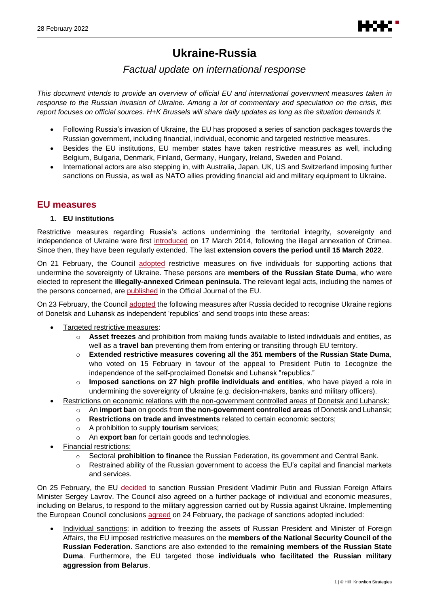# **Ukraine-Russia**

# *Factual update on international response*

*This document intends to provide an overview of official EU and international government measures taken in response to the Russian invasion of Ukraine. Among a lot of commentary and speculation on the crisis, this report focuses on official sources. H+K Brussels will share daily updates as long as the situation demands it.*

- Following Russia's invasion of Ukraine, the EU has proposed a series of sanction packages towards the Russian government, including financial, individual, economic and targeted restrictive measures.
- Besides the EU institutions, EU member states have taken restrictive measures as well, including Belgium, Bulgaria, Denmark, Finland, Germany, Hungary, Ireland, Sweden and Poland.
- International actors are also stepping in, with Australia, Japan, UK, US and Switzerland imposing further sanctions on Russia, as well as NATO allies providing financial aid and military equipment to Ukraine.

# **EU measures**

# **1. EU institutions**

Restrictive measures regarding Russia's actions undermining the territorial integrity, sovereignty and independence of Ukraine were first [introduced](https://eur-lex.europa.eu/legal-content/EN/TXT/?uri=uriserv%3AOJ.L_.2014.078.01.0006.01.ENG&toc=OJ%3AL%3A2014%3A078%3ATOC) on 17 March 2014, following the illegal annexation of Crimea. Since then, they have been regularly extended. The last **extension covers the period until 15 March 2022**.

On 21 February, the Council [adopted](https://www.consilium.europa.eu/en/press/press-releases/2022/02/21/ukraine-s-territorial-integrity-eu-targets-five-more-individuals-with-restrictive-measures/) restrictive measures on five individuals for supporting actions that undermine the sovereignty of Ukraine. These persons are **members of the Russian State Duma**, who were elected to represent the **illegally-annexed Crimean peninsula**. The relevant legal acts, including the names of the persons concerned, are [published](https://eur-lex.europa.eu/legal-content/EN/TXT/?uri=CELEX%3A32022D0241&qid=1645693142096) in the Official Journal of the EU.

<span id="page-0-0"></span>On 23 February, the Counci[l adopted](https://www.consilium.europa.eu/en/press/press-releases/2022/02/23/russian-recognition-of-the-non-government-controlled-areas-of-the-donetsk-and-luhansk-oblasts-of-ukraine-as-independent-entities-eu-adopts-package-of-sanctions/) the following measures after Russia decided to recognise Ukraine regions of Donetsk and Luhansk as independent 'republics' and send troops into these areas:

- Targeted restrictive measures:
	- o **Asset freezes** and prohibition from making funds available to listed individuals and entities, as well as a **travel ban** preventing them from entering or transiting through EU territory.
	- o **Extended restrictive measures covering all the 351 members of the Russian State Duma**, who voted on 15 February in favour of the appeal to President Putin to 1ecognize the independence of the self-proclaimed Donetsk and Luhansk "republics."
	- o **Imposed sanctions on 27 high profile individuals and entities**, who have played a role in undermining the sovereignty of Ukraine (e.g. decision-makers, banks and military officers).
- Restrictions on economic relations with the non-government controlled areas of Donetsk and Luhansk:
	- o An **import ban** on goods from **the non-government controlled areas** of Donetsk and Luhansk;
	- o **Restrictions on trade and investments** related to certain economic sectors;
	- o A prohibition to supply **tourism** services;
	- o An **export ban** for certain goods and technologies.
- Financial restrictions:
	- o Sectoral **prohibition to finance** the Russian Federation, its government and Central Bank.
	- o Restrained ability of the Russian government to access the EU's capital and financial markets and services.

<span id="page-0-1"></span>On 25 February, the EU [decided](https://www.consilium.europa.eu/en/press/press-releases/2022/02/25/russia-s-military-aggression-against-ukraine-eu-imposes-sanctions-against-president-putin-and-foreign-minister-lavrov-and-adopts-wide-ranging-individual-and-economic-sanctions/) to sanction Russian President Vladimir Putin and Russian Foreign Affairs Minister Sergey Lavrov. The Council also agreed on a further package of individual and economic measures, including on Belarus, to respond to the military aggression carried out by Russia against Ukraine. Implementing the European Council conclusions [agreed](https://www.consilium.europa.eu/en/meetings/european-council/2022/02/24/) on 24 February, the package of sanctions adopted included:

Individual sanctions: in addition to freezing the assets of Russian President and Minister of Foreign Affairs, the EU imposed restrictive measures on the **members of the National Security Council of the Russian Federation**. Sanctions are also extended to the **remaining members of the Russian State Duma**. Furthermore, the EU targeted those **individuals who facilitated the Russian military aggression from Belarus**.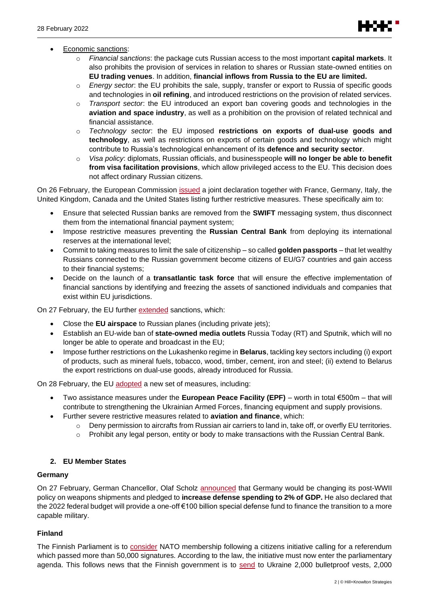- Economic sanctions:
	- o *Financial sanctions*: the package cuts Russian access to the most important **capital markets**. It also prohibits the provision of services in relation to shares or Russian state-owned entities on **EU trading venues**. In addition, **financial inflows from Russia to the EU are limited.**
	- o *Energy sector*: the EU prohibits the sale, supply, transfer or export to Russia of specific goods and technologies in **oil refining**, and introduced restrictions on the provision of related services.
	- o *Transport sector*: the EU introduced an export ban covering goods and technologies in the **aviation and space industry**, as well as a prohibition on the provision of related technical and financial assistance.
	- o *Technology sector*: the EU imposed **restrictions on exports of dual-use goods and technology**, as well as restrictions on exports of certain goods and technology which might contribute to Russia's technological enhancement of its **defence and security sector**.
	- o *Visa policy*: diplomats, Russian officials, and businesspeople **will no longer be able to benefit from visa facilitation provisions**, which allow privileged access to the EU. This decision does not affect ordinary Russian citizens.

On 26 February, the European Commission *issued* a joint declaration together with France, Germany, Italy, the United Kingdom, Canada and the United States listing further restrictive measures. These specifically aim to:

- Ensure that selected Russian banks are removed from the **SWIFT** messaging system, thus disconnect them from the international financial payment system;
- Impose restrictive measures preventing the **Russian Central Bank** from deploying its international reserves at the international level;
- Commit to taking measures to limit the sale of citizenship so called **golden passports** that let wealthy Russians connected to the Russian government become citizens of EU/G7 countries and gain access to their financial systems;
- Decide on the launch of a **transatlantic task force** that will ensure the effective implementation of financial sanctions by identifying and freezing the assets of sanctioned individuals and companies that exist within EU jurisdictions.

On 27 February, the EU further [extended](https://ec.europa.eu/commission/presscorner/detail/en/statement_22_1441) sanctions, which:

- Close the **EU airspace** to Russian planes (including private jets);
- Establish an EU-wide ban of **state-owned media outlets** Russia Today (RT) and Sputnik, which will no longer be able to operate and broadcast in the EU;
- Impose further restrictions on the Lukashenko regime in **Belarus**, tackling key sectors including (i) export of products, such as mineral fuels, tobacco, wood, timber, cement, iron and steel; (ii) extend to Belarus the export restrictions on dual-use goods, already introduced for Russia.

On 28 February, the EU [adopted](https://www.consilium.europa.eu/en/press/press-releases/2022/02/28/eu-adopts-new-set-of-measures-to-respond-to-russia-s-military-aggression-against-ukraine/) a new set of measures, including:

- Two assistance measures under the **European Peace Facility (EPF)** worth in total €500m that will contribute to strengthening the Ukrainian Armed Forces, financing equipment and supply provisions.
- Further severe restrictive measures related to **aviation and finance**, which:
	- $\circ$  Deny permission to aircrafts from Russian air carriers to land in, take off, or overfly EU territories.
	- o Prohibit any legal person, entity or body to make transactions with the Russian Central Bank.

# **2. EU Member States**

#### **Germany**

On 27 February, German Chancellor, Olaf Scholz **announced** that Germany would be changing its post-WWII policy on weapons shipments and pledged to **increase defense spending to 2% of GDP.** He also declared that the 2022 federal budget will provide a one-off €100 billion special defense fund to finance the transition to a more capable military.

# **Finland**

The Finnish Parliament is to [consider](https://www.euractiv.com/section/politics/short_news/possible-nato-membership-campaign-gathers-momentum/) NATO membership following a citizens initiative calling for a referendum which passed more than 50,000 signatures. According to the law, the initiative must now enter the parliamentary agenda. This follows news that the Finnish government is to [send](https://valtioneuvosto.fi/en/-/10616/finland-sends-additional-aid-to-ukraine) to Ukraine 2,000 bulletproof vests, 2,000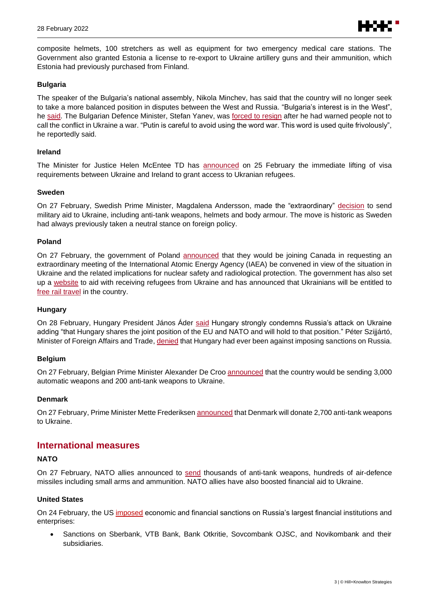

composite helmets, 100 stretchers as well as equipment for two emergency medical care stations. The Government also granted Estonia a license to re-export to Ukraine artillery guns and their ammunition, which Estonia had previously purchased from Finland.

#### **Bulgaria**

The speaker of the Bulgaria's national assembly, Nikola Minchev, has said that the country will no longer seek to take a more balanced position in disputes between the West and Russia. "Bulgaria's interest is in the West", he [said.](https://www.novinite.com/articles/213977/Bulgaria%3A+We+will+No+Longer+take+a+more+Balanced+Position+towards+Russia) The Bulgarian Defence Minister, Stefan Yanev, was [forced to](https://www.gov.bg/bg/prestsentar/novini/kabinetat-prie-predlozhenieto-na-premiera-kiril-petkov-ministarat-na-otbranata-stefan-yanev-da-bade-osvoboden) resign after he had warned people not to call the conflict in Ukraine a war. "Putin is careful to avoid using the word war. This word is used quite frivolously", he reportedly said.

#### **Ireland**

The Minister for Justice Helen McEntee TD has [announced](https://www.gov.ie/en/press-release/00aef-minister-mcentee-announces-immediate-lifting-of-visa-requirements-between-ukraine-and-ireland/) on 25 February the immediate lifting of visa requirements between Ukraine and Ireland to grant access to Ukranian refugees.

#### **Sweden**

On 27 February, Swedish Prime Minister, Magdalena Andersson, made the "extraordinary" [decision](https://twitter.com/SwedishPM/status/1498274307981684740) to send military aid to Ukraine, including anti-tank weapons, helmets and body armour. The move is historic as Sweden had always previously taken a neutral stance on foreign policy.

#### **Poland**

On 27 February, the government of Poland [announced](https://www.gov.pl/web/klimat/polska-wraz-z-kanada-wnioskuja-o-zwolanie-nadzwyczajnego-posiedzenia-rady-gubernatorow-maea) that they would be joining Canada in requesting an extraordinary meeting of the International Atomic Energy Agency (IAEA) be convened in view of the situation in Ukraine and the related implications for nuclear safety and radiological protection. The government has also set up a [website](https://pomagamukrainie.gov.pl/) to aid with receiving refugees from Ukraine and has announced that Ukrainians will be entitled to [free rail travel](https://www.gov.pl/web/infrastruktura/bezplatne-przejazdy-dla-obywateli-ukrainy-pociagami-pkp-intercity) in the country.

#### **Hungary**

On 28 February, Hungary President János Áder [said](https://abouthungary.hu/news-in-brief/president-ader-hungary-strongly-condemns-russias-attack-on-ukraine) Hungary strongly condemns Russia's attack on Ukraine adding "that Hungary shares the joint position of the EU and NATO and will hold to that position." Péter Szijjártó, Minister of Foreign Affairs and Trade, [denied](https://abouthungary.hu/news-in-brief/fm-hungary-has-never-expressed-any-objection-to-sanctions-against-russia) that Hungary had ever been against imposing sanctions on Russia.

#### **Belgium**

On 27 February, Belgian Prime Minister Alexander De Cro[o announced](https://twitter.com/alexanderdecroo/status/1497914776063594502) that the country would be sending 3,000 automatic weapons and 200 anti-tank weapons to Ukraine.

#### **Denmark**

On 27 February, Prime Minister Mette Frederikse[n announced](https://www.regeringen.dk/nyheder/2022/danmark-donerer-2700-skulderbaarne-panservaernsvaaben-til-ukraine/) that Denmark will donate 2,700 anti-tank weapons to Ukraine.

# **International measures**

#### **NATO**

On 27 February, NATO allies announced to [send](https://www.nato.int/cps/en/natohq/news_192476.htm?selectedLocale=en) thousands of anti-tank weapons, hundreds of air-defence missiles including small arms and ammunition. NATO allies have also boosted financial aid to Ukraine.

#### **United States**

On 24 February, the US [imposed](https://www.whitehouse.gov/briefing-room/statements-releases/2022/02/24/fact-sheet-joined-by-allies-and-partners-the-united-states-imposes-devastating-costs-on-russia/) economic and financial sanctions on Russia's largest financial institutions and enterprises:

• Sanctions on Sberbank, VTB Bank, Bank Otkritie, Sovcombank OJSC, and Novikombank and their subsidiaries.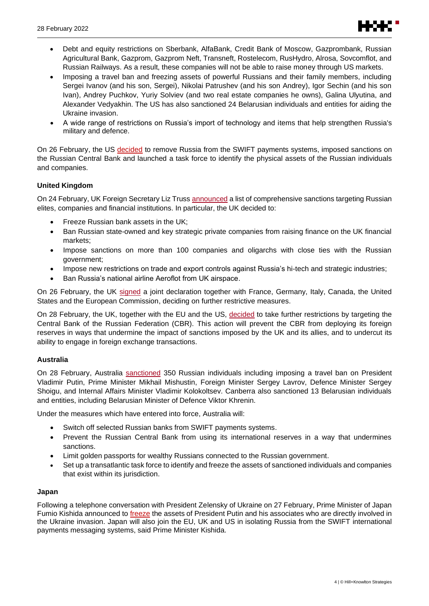

- Debt and equity restrictions on Sberbank, AlfaBank, Credit Bank of Moscow, Gazprombank, Russian Agricultural Bank, Gazprom, Gazprom Neft, Transneft, Rostelecom, RusHydro, Alrosa, Sovcomflot, and Russian Railways. As a result, these companies will not be able to raise money through US markets.
- Imposing a travel ban and freezing assets of powerful Russians and their family members, including Sergei Ivanov (and his son, Sergei), Nikolai Patrushev (and his son Andrey), Igor Sechin (and his son Ivan), Andrey Puchkov, Yuriy Solviev (and two real estate companies he owns), Galina Ulyutina, and Alexander Vedyakhin. The US has also sanctioned 24 Belarusian individuals and entities for aiding the Ukraine invasion.
- A wide range of restrictions on Russia's import of technology and items that help strengthen Russia's military and defence.

On 26 February, the US [decided](https://www.whitehouse.gov/briefing-room/press-briefings/2022/02/27/background-press-call-by-a-senior-administration-official-on-imposing-additional-severe-costs-on-russia/) to remove Russia from the SWIFT payments systems, imposed sanctions on the Russian Central Bank and launched a task force to identify the physical assets of the Russian individuals and companies.

# **United Kingdom**

On 24 February, UK Foreign Secretary Liz Truss [announced](https://www.gov.uk/government/news/foreign-secretary-imposes-uks-most-punishing-sanctions-to-inflict-maximum-and-lasting-pain-on-russia) a list of comprehensive sanctions targeting Russian elites, companies and financial institutions. In particular, the UK decided to:

- Freeze Russian bank assets in the UK;
- Ban Russian state-owned and key strategic private companies from raising finance on the UK financial markets;
- Impose sanctions on more than 100 companies and oligarchs with close ties with the Russian government;
- Impose new restrictions on trade and export controls against Russia's hi-tech and strategic industries;
- Ban Russia's national airline Aeroflot from UK airspace.

On 26 February, the UK [signed](https://www.gov.uk/government/news/joint-statement-on-further-restrictive-economic-measures-26-february-2022) a joint declaration together with France, Germany, Italy, Canada, the United States and the European Commission, deciding on further restrictive measures.

On 28 February, the UK, together with the EU and the US, [decided](https://www.gov.uk/government/news/uk-statement-on-further-economic-sanctions-targeted-at-the-central-bank-of-the-russian-federation) to take further restrictions by targeting the Central Bank of the Russian Federation (CBR). This action will prevent the CBR from deploying its foreign reserves in ways that undermine the impact of sanctions imposed by the UK and its allies, and to undercut its ability to engage in foreign exchange transactions.

# **Australia**

On 28 February, Australia [sanctioned](https://www.pm.gov.au/media/economic-measures-against-russia-and-lethal-military-equipment-ukraine) 350 Russian individuals including imposing a travel ban on President Vladimir Putin, Prime Minister Mikhail Mishustin, Foreign Minister Sergey Lavrov, Defence Minister Sergey Shoigu, and Internal Affairs Minister Vladimir Kolokoltsev. Canberra also sanctioned 13 Belarusian individuals and entities, including Belarusian Minister of Defence Viktor Khrenin.

Under the measures which have entered into force, Australia will:

- Switch off selected Russian banks from SWIFT payments systems.
- Prevent the Russian Central Bank from using its international reserves in a way that undermines sanctions.
- Limit golden passports for wealthy Russians connected to the Russian government.
- Set up a transatlantic task force to identify and freeze the assets of sanctioned individuals and companies that exist within its jurisdiction.

# **Japan**

Following a telephone conversation with President Zelensky of Ukraine on 27 February, Prime Minister of Japan Fumio Kishida announced to *[freeze](https://japan.kantei.go.jp/101_kishida/statement/202202/_00014.html)* the assets of President Putin and his associates who are directly involved in the Ukraine invasion. Japan will also join the EU, UK and US in isolating Russia from the SWIFT international payments messaging systems, said Prime Minister Kishida.